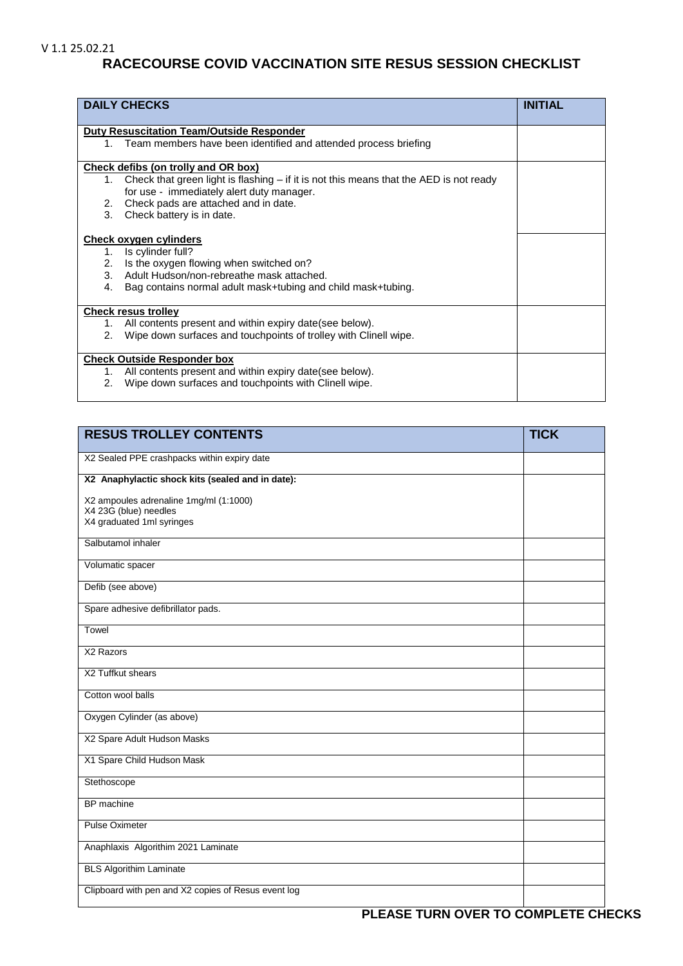## V 1.1 25.02.21

## **RACECOURSE COVID VACCINATION SITE RESUS SESSION CHECKLIST**

| <b>DAILY CHECKS</b>                                                                                                                         | <b>INITIAL</b> |
|---------------------------------------------------------------------------------------------------------------------------------------------|----------------|
| <b>Duty Resuscitation Team/Outside Responder</b>                                                                                            |                |
| 1. Team members have been identified and attended process briefing                                                                          |                |
| Check defibs (on trolly and OR box)                                                                                                         |                |
| Check that green light is flashing $-$ if it is not this means that the AED is not ready<br>1.<br>for use - immediately alert duty manager. |                |
| Check pads are attached and in date.<br>2.                                                                                                  |                |
| 3.<br>Check battery is in date.                                                                                                             |                |
| Check oxygen cylinders                                                                                                                      |                |
| Is cylinder full?<br>1.                                                                                                                     |                |
| Is the oxygen flowing when switched on?<br>2.                                                                                               |                |
| Adult Hudson/non-rebreathe mask attached.<br>3.                                                                                             |                |
| Bag contains normal adult mask+tubing and child mask+tubing.<br>4.                                                                          |                |
| <b>Check resus trolley</b>                                                                                                                  |                |
| All contents present and within expiry date (see below).<br>1.                                                                              |                |
| Wipe down surfaces and touchpoints of trolley with Clinell wipe.<br>2.                                                                      |                |
| <b>Check Outside Responder box</b>                                                                                                          |                |
| All contents present and within expiry date(see below).<br>1.                                                                               |                |
| Wipe down surfaces and touchpoints with Clinell wipe.<br>2.                                                                                 |                |

| <b>RESUS TROLLEY CONTENTS</b>                                                                | <b>TICK</b> |
|----------------------------------------------------------------------------------------------|-------------|
| X2 Sealed PPE crashpacks within expiry date                                                  |             |
| X2 Anaphylactic shock kits (sealed and in date):                                             |             |
| X2 ampoules adrenaline 1mg/ml (1:1000)<br>X4 23G (blue) needles<br>X4 graduated 1ml syringes |             |
| Salbutamol inhaler                                                                           |             |
| Volumatic spacer                                                                             |             |
| Defib (see above)                                                                            |             |
| Spare adhesive defibrillator pads.                                                           |             |
| Towel                                                                                        |             |
| X2 Razors                                                                                    |             |
| X2 Tuffkut shears                                                                            |             |
| Cotton wool balls                                                                            |             |
| Oxygen Cylinder (as above)                                                                   |             |
| X2 Spare Adult Hudson Masks                                                                  |             |
| X1 Spare Child Hudson Mask                                                                   |             |
| Stethoscope                                                                                  |             |
| BP machine                                                                                   |             |
| <b>Pulse Oximeter</b>                                                                        |             |
| Anaphlaxis Algorithim 2021 Laminate                                                          |             |
| <b>BLS Algorithim Laminate</b>                                                               |             |
| Clipboard with pen and X2 copies of Resus event log                                          |             |